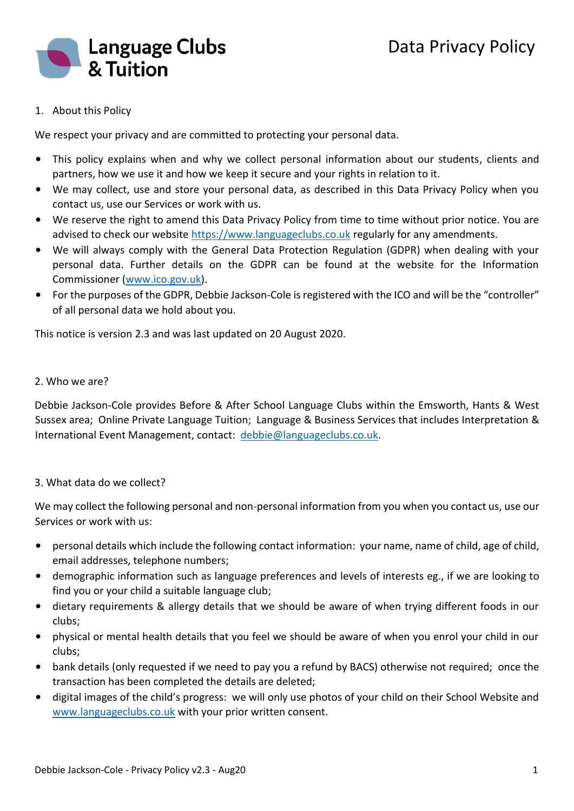

# 1. About this Policy

We respect your privacy and are committed to protecting your personal data.

- This policy explains when and why we collect personal information about our students, clients and partners, how we use it and how we keep it secure and your rights in relation to it.
- We may collect, use and store your personal data, as described in this Data Privacy Policy when you contact us, use our Services or work with us.
- We reserve the right to amend this Data Privacy Policy from time to time without prior notice. You are advised to check our website [https://www.languageclubs.co.uk](https://www.languageclubs.co.uk/) regularly for any amendments.
- We will always comply with the General Data Protection Regulation (GDPR) when dealing with your personal data. Further details on the GDPR can be found at the website for the Information Commissioner [\(www.ico.gov.uk\)](http://www.ico.gov.uk/).
- For the purposes of the GDPR, Debbie Jackson-Cole is registered with the ICO and will be the "controller" of all personal data we hold about you.

This notice is version 2.3 and was last updated on 20 August 2020.

### 2. Who we are?

Debbie Jackson-Cole provides Before & After School Language Clubs within the Emsworth, Hants & West Sussex area; Online Private Language Tuition; Language & Business Services that includes Interpretation & International Event Management, contact: [debbie@languageclubs.co.uk.](mailto:debbie@languageclubs.co.uk)

### 3. What data do we collect?

We may collect the following personal and non-personal information from you when you contact us, use our Services or work with us:

- personal details which include the following contact information: your name, name of child, age of child, email addresses, telephone numbers;
- demographic information such as language preferences and levels of interests eg., if we are looking to find you or your child a suitable language club;
- dietary requirements & allergy details that we should be aware of when trying different foods in our clubs;
- physical or mental health details that you feel we should be aware of when you enrol your child in our clubs;
- bank details (only requested if we need to pay you a refund by BACS) otherwise not required; once the transaction has been completed the details are deleted;
- digital images of the child's progress: we will only use photos of your child on their School Website and [www.languageclubs.co.uk](http://www.languageclubs.co.uk/) with your prior written consent.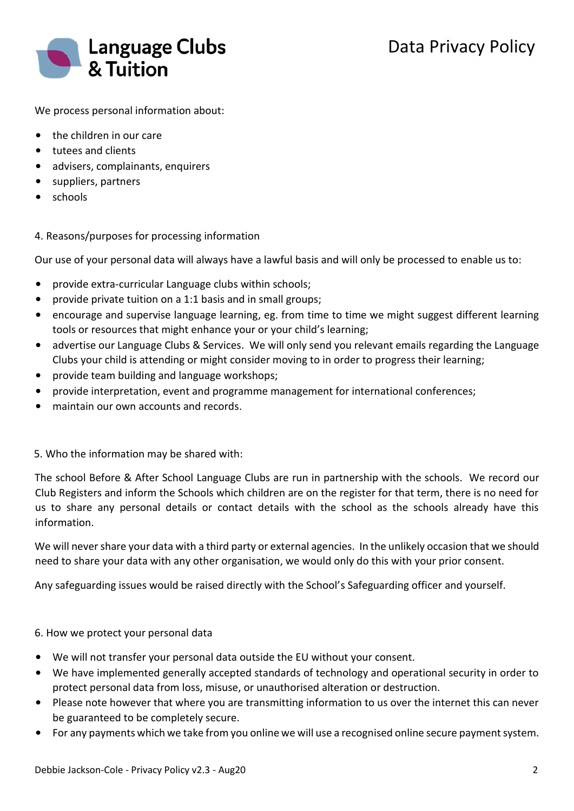

We process personal information about:

- the children in our care
- tutees and clients
- advisers, complainants, enquirers
- suppliers, partners
- schools

## 4. Reasons/purposes for processing information

Our use of your personal data will always have a lawful basis and will only be processed to enable us to:

- provide extra-curricular Language clubs within schools;
- provide private tuition on a 1:1 basis and in small groups;
- encourage and supervise language learning, eg. from time to time we might suggest different learning tools or resources that might enhance your or your child's learning;
- advertise our Language Clubs & Services. We will only send you relevant emails regarding the Language Clubs your child is attending or might consider moving to in order to progress their learning;
- provide team building and language workshops;
- provide interpretation, event and programme management for international conferences;
- maintain our own accounts and records.

### 5. Who the information may be shared with:

The school Before & After School Language Clubs are run in partnership with the schools. We record our Club Registers and inform the Schools which children are on the register for that term, there is no need for us to share any personal details or contact details with the school as the schools already have this information.

We will never share your data with a third party or external agencies. In the unlikely occasion that we should need to share your data with any other organisation, we would only do this with your prior consent.

Any safeguarding issues would be raised directly with the School's Safeguarding officer and yourself.

### 6. How we protect your personal data

- We will not transfer your personal data outside the EU without your consent.
- We have implemented generally accepted standards of technology and operational security in order to protect personal data from loss, misuse, or unauthorised alteration or destruction.
- Please note however that where you are transmitting information to us over the internet this can never be guaranteed to be completely secure.
- For any payments which we take from you online we will use a recognised online secure payment system.